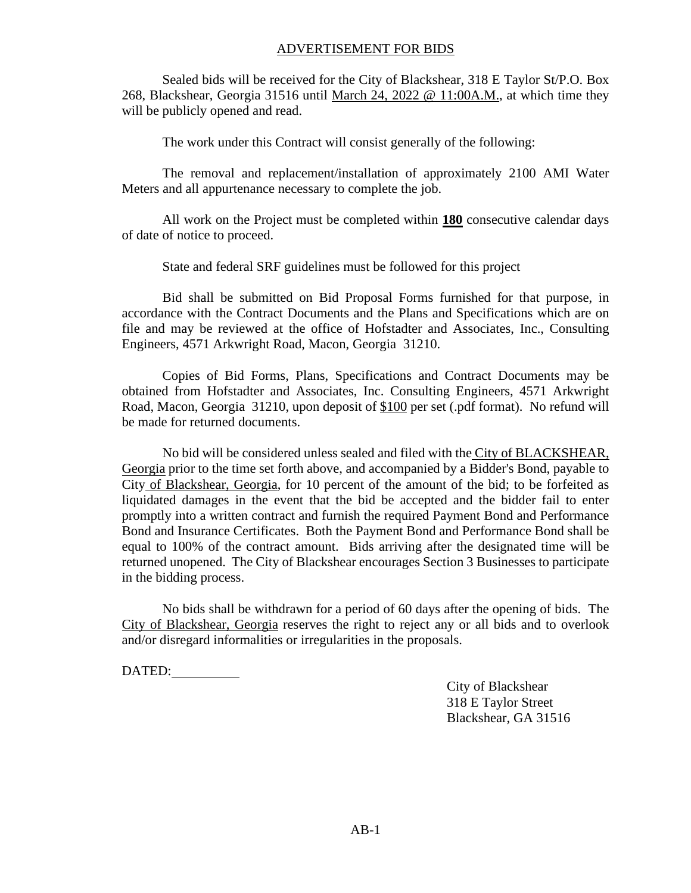#### ADVERTISEMENT FOR BIDS

Sealed bids will be received for the City of Blackshear, 318 E Taylor St/P.O. Box 268, Blackshear, Georgia 31516 until March 24, 2022 @ 11:00A.M., at which time they will be publicly opened and read.

The work under this Contract will consist generally of the following:

The removal and replacement/installation of approximately 2100 AMI Water Meters and all appurtenance necessary to complete the job.

All work on the Project must be completed within **180** consecutive calendar days of date of notice to proceed.

State and federal SRF guidelines must be followed for this project

Bid shall be submitted on Bid Proposal Forms furnished for that purpose, in accordance with the Contract Documents and the Plans and Specifications which are on file and may be reviewed at the office of Hofstadter and Associates, Inc., Consulting Engineers, 4571 Arkwright Road, Macon, Georgia 31210.

Copies of Bid Forms, Plans, Specifications and Contract Documents may be obtained from Hofstadter and Associates, Inc. Consulting Engineers, 4571 Arkwright Road, Macon, Georgia 31210, upon deposit of \$100 per set (.pdf format). No refund will be made for returned documents.

No bid will be considered unless sealed and filed with the City of BLACKSHEAR, Georgia prior to the time set forth above, and accompanied by a Bidder's Bond, payable to City of Blackshear, Georgia, for 10 percent of the amount of the bid; to be forfeited as liquidated damages in the event that the bid be accepted and the bidder fail to enter promptly into a written contract and furnish the required Payment Bond and Performance Bond and Insurance Certificates. Both the Payment Bond and Performance Bond shall be equal to 100% of the contract amount. Bids arriving after the designated time will be returned unopened. The City of Blackshear encourages Section 3 Businesses to participate in the bidding process.

No bids shall be withdrawn for a period of 60 days after the opening of bids. The City of Blackshear, Georgia reserves the right to reject any or all bids and to overlook and/or disregard informalities or irregularities in the proposals.

DATED:

City of Blackshear 318 E Taylor Street Blackshear, GA 31516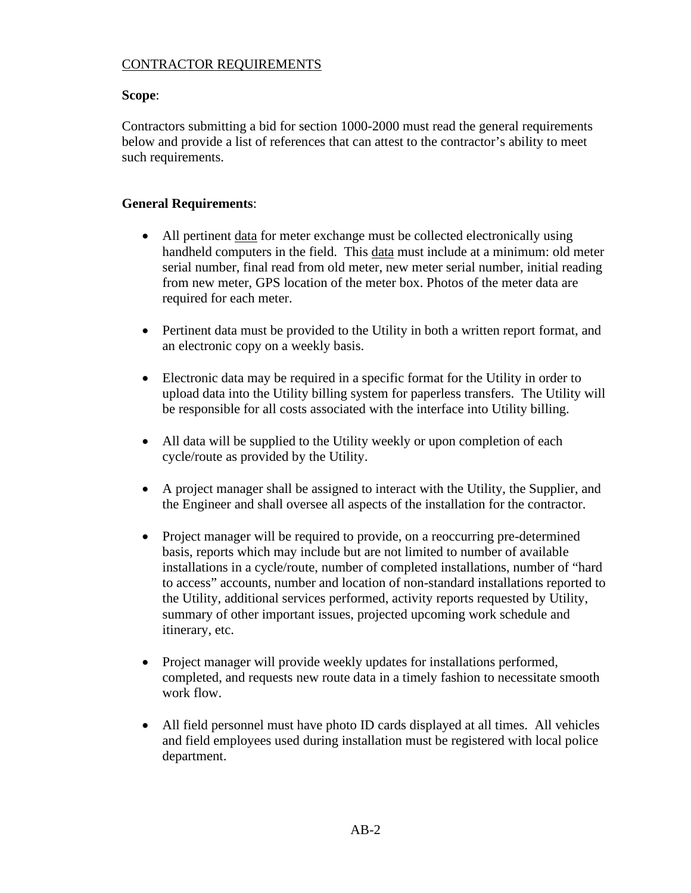## CONTRACTOR REQUIREMENTS

## **Scope**:

Contractors submitting a bid for section 1000-2000 must read the general requirements below and provide a list of references that can attest to the contractor's ability to meet such requirements.

# **General Requirements**:

- All pertinent data for meter exchange must be collected electronically using handheld computers in the field. This data must include at a minimum: old meter serial number, final read from old meter, new meter serial number, initial reading from new meter, GPS location of the meter box. Photos of the meter data are required for each meter.
- Pertinent data must be provided to the Utility in both a written report format, and an electronic copy on a weekly basis.
- Electronic data may be required in a specific format for the Utility in order to upload data into the Utility billing system for paperless transfers. The Utility will be responsible for all costs associated with the interface into Utility billing.
- All data will be supplied to the Utility weekly or upon completion of each cycle/route as provided by the Utility.
- A project manager shall be assigned to interact with the Utility, the Supplier, and the Engineer and shall oversee all aspects of the installation for the contractor.
- Project manager will be required to provide, on a reoccurring pre-determined basis, reports which may include but are not limited to number of available installations in a cycle/route, number of completed installations, number of "hard to access" accounts, number and location of non-standard installations reported to the Utility, additional services performed, activity reports requested by Utility, summary of other important issues, projected upcoming work schedule and itinerary, etc.
- Project manager will provide weekly updates for installations performed, completed, and requests new route data in a timely fashion to necessitate smooth work flow.
- All field personnel must have photo ID cards displayed at all times. All vehicles and field employees used during installation must be registered with local police department.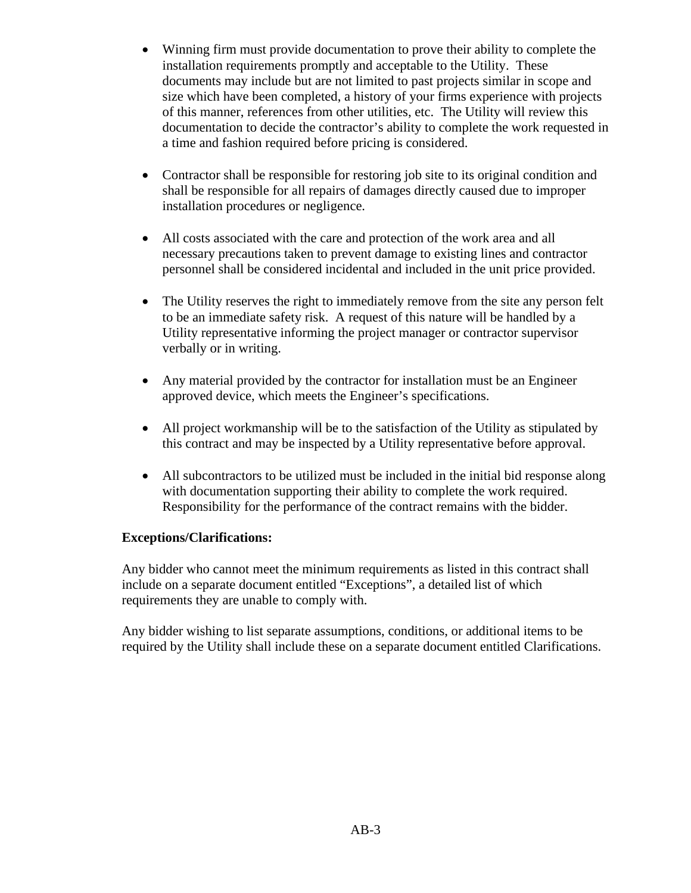- Winning firm must provide documentation to prove their ability to complete the installation requirements promptly and acceptable to the Utility. These documents may include but are not limited to past projects similar in scope and size which have been completed, a history of your firms experience with projects of this manner, references from other utilities, etc. The Utility will review this documentation to decide the contractor's ability to complete the work requested in a time and fashion required before pricing is considered.
- Contractor shall be responsible for restoring job site to its original condition and shall be responsible for all repairs of damages directly caused due to improper installation procedures or negligence.
- All costs associated with the care and protection of the work area and all necessary precautions taken to prevent damage to existing lines and contractor personnel shall be considered incidental and included in the unit price provided.
- The Utility reserves the right to immediately remove from the site any person felt to be an immediate safety risk. A request of this nature will be handled by a Utility representative informing the project manager or contractor supervisor verbally or in writing.
- Any material provided by the contractor for installation must be an Engineer approved device, which meets the Engineer's specifications.
- All project workmanship will be to the satisfaction of the Utility as stipulated by this contract and may be inspected by a Utility representative before approval.
- All subcontractors to be utilized must be included in the initial bid response along with documentation supporting their ability to complete the work required. Responsibility for the performance of the contract remains with the bidder.

## **Exceptions/Clarifications:**

Any bidder who cannot meet the minimum requirements as listed in this contract shall include on a separate document entitled "Exceptions", a detailed list of which requirements they are unable to comply with.

Any bidder wishing to list separate assumptions, conditions, or additional items to be required by the Utility shall include these on a separate document entitled Clarifications.